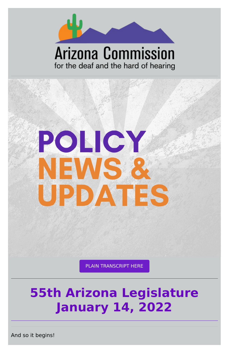

# **Arizona Commission** for the deaf and the hard of hearing



#### PLAIN [TRANSCRIPT](https://d1a8dioxuajlzs.cloudfront.net/accounts/16570/original/Policy%2520Alert%252001.14.pdf?1642206093) HERE

# **55th Arizona Legislature January 14, 2022**

And so it begins!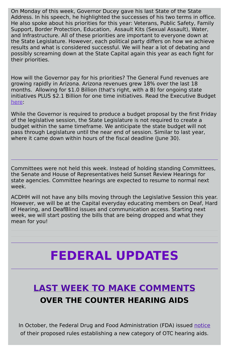On Monday of this week, Governor Ducey gave his last State of the State Address. In his speech, he highlighted the successes of his two terms in office. He also spoke about his priorities for this year: Veterans, Public Safety, Family Support, Border Protection, Education, Assault Kits (Sexual Assault), Water, and Infrastructure. All of these priorities are important to everyone down at the State Legislature. However, each political party differs on how we achieve results and what is considered successful. We will hear a lot of debating and possibly screaming down at the State Capital again this year as each fight for their priorities.

How will the Governor pay for his priorities? The General Fund revenues are growing rapidly in Arizona. Arizona revenues grew 18% over the last 18 months. Allowing for \$1.0 Billion (that's right, with a B) for ongoing state initiatives PLUS \$2.1 Billion for one time initiatives. Read the Executive Budget [here:](https://azgovernor.gov/governor/news/2022/01/governor-ducey-releases-budget-focus-education-border-security-and-water)

While the Governor is required to produce a budget proposal by the first Friday of the legislative session, the State Legislature is not required to create a budget within the same timeframe. We anticipate the state budget will not pass through Legislature until the near end of session. Similar to last year, where it came down within hours of the fiscal deadline (June 30).

Committees were not held this week. Instead of holding standing Committees, the Senate and House of Representatives held Sunset Review Hearings for state agencies. Committee hearings are expected to resume to normal next week.

ACDHH will not have any bills moving through the Legislative Session this year. However, we will be at the Capital everyday educating members on Deaf, Hard of Hearing, and DeafBlind issues and communication access. Starting next week, we will start posting the bills that are being dropped and what they mean for you!

# **FEDERAL UPDATES**

### **LAST WEEK TO MAKE COMMENTS OVER THE COUNTER HEARING AIDS**

In October, the Federal Drug and Food Administration (FDA) issued [notice](https://www.fda.gov/news-events/press-announcements/fda-issues-landmark-proposal-improve-access-hearing-aid-technology-millions-americans) of their proposed rules establishing a new category of OTC hearing aids.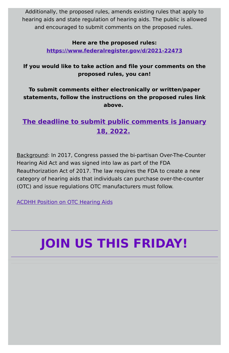Additionally, the proposed rules, amends existing rules that apply to hearing aids and state regulation of hearing aids. The public is allowed and encouraged to submit comments on the proposed rules.

#### **Here are the proposed rules:**

**<https://www.federalregister.gov/d/2021-22473>**

**If you would like to take action and file your comments on the proposed rules, you can!**

**To submit comments either electronically or written/paper statements, follow the instructions on the proposed rules link above.**

### **The deadline to submit public comments is January 18, 2022.**

Background: In 2017, Congress passed the bi-partisan Over-The-Counter Hearing Aid Act and was signed into law as part of the FDA Reauthorization Act of 2017. The law requires the FDA to create a new category of hearing aids that individuals can purchase over-the-counter (OTC) and issue regulations OTC manufacturers must follow.

ACDHH Position on OTC [Hearing](https://www.acdhh.org/media/1047/otc-hearing-aids-acdhh-board-position-paper-final-adopted-5-11-17.pdf) Aids

# **JOIN US THIS FRIDAY!**

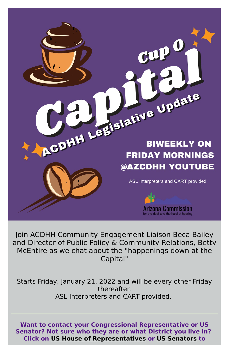# CDHH Legislative Update **BIWEEKLY ON FRIDAY MORNINGS** @AZCDHH YOUTUBE

ASL Interpreters and CART provided



Join ACDHH Community Engagement Liaison Beca Bailey and Director of Public Policy & Community Relations, Betty McEntire as we chat about the "happenings down at the Capital"

#### Starts Friday, January 21, 2022 and will be every other Friday thereafter. ASL Interpreters and CART provided.

**Want to contact your Congressional Representative or US Senator? Not sure who they are or what District you live in? Click on US House of [Representatives](https://www.house.gov/representatives/find-your-representative) or US [Senators](https://www.senate.gov/senators/senators-contact.htm) to**